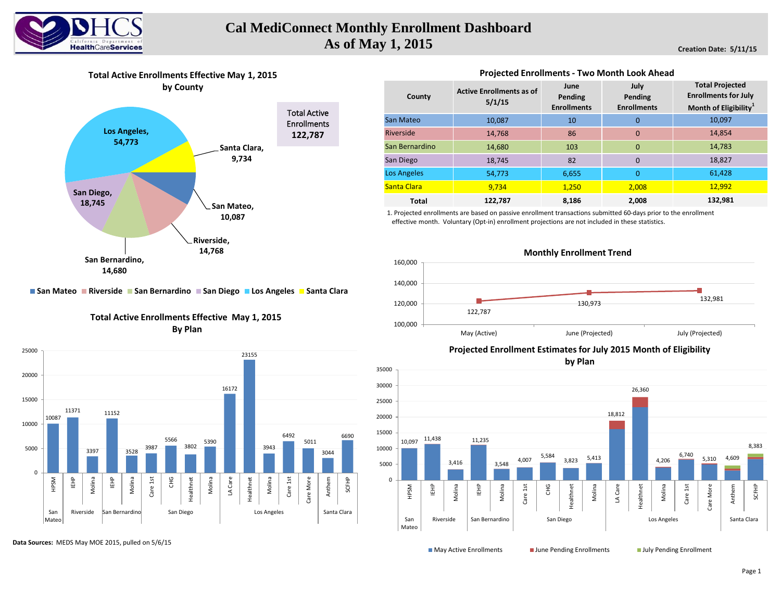

# **Cal MediConnect Monthly Enrollment Dashboard As of May 1, 2015**

**Creation Date: 5/11/15**



### **Projected Enrollments - Two Month Look Ahead**

| County             | <b>Active Enrollments as of</b><br>5/1/15 | June<br>Pending<br><b>Enrollments</b> | July<br>Pending<br><b>Enrollments</b> | <b>Total Projected</b><br><b>Enrollments for July</b><br>Month of Eligibility <sup>1</sup> |  |  |
|--------------------|-------------------------------------------|---------------------------------------|---------------------------------------|--------------------------------------------------------------------------------------------|--|--|
| San Mateo          | 10,087                                    | 10                                    | 0                                     | 10,097                                                                                     |  |  |
| Riverside          | 14,768                                    | 86                                    | $\Omega$                              | 14,854                                                                                     |  |  |
| San Bernardino     | 14,680                                    | 103                                   | $\Omega$                              | 14,783                                                                                     |  |  |
| San Diego          | 18,745                                    | 82                                    | $\Omega$                              | 18,827                                                                                     |  |  |
| <b>Los Angeles</b> | 54,773                                    | 6,655                                 | $\overline{0}$                        | 61,428                                                                                     |  |  |
| Santa Clara        | 9,734                                     | 1,250                                 | 2.008                                 | 12,992                                                                                     |  |  |
| <b>Total</b>       | 122,787                                   | 8,186                                 | 2,008                                 | 132,981                                                                                    |  |  |

1. Projected enrollments are based on passive enrollment transactions submitted 60-days prior to the enrollment effective month. Voluntary (Opt-in) enrollment projections are not included in these statistics.



## **San Mateo Riverside San Bernardino San Diego Los Angeles Santa Clara**

### **Total Active Enrollments Effective May 1, 2015 By Plan**



**Data Sources:** MEDS May MOE 2015, pulled on 5/6/15

**Projected Enrollment Estimates for July 2015 Month of Eligibility**

**by Plan**



**May Active Enrollments June Pending Enrollments** July Pending Enrollment